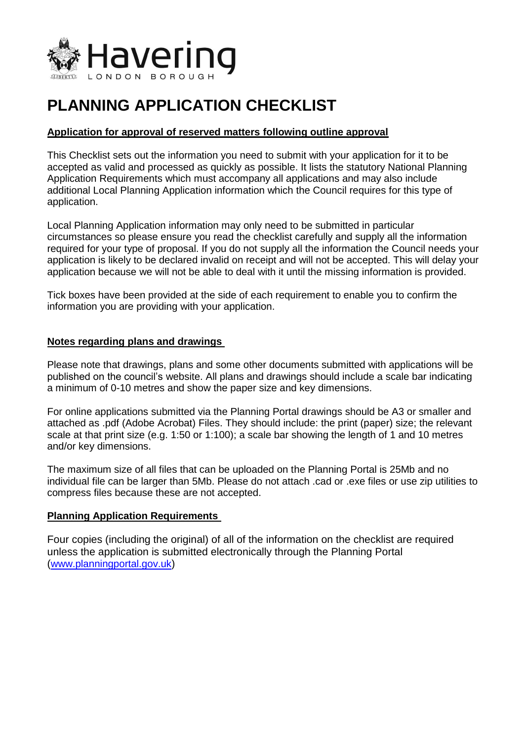

# **PLANNING APPLICATION CHECKLIST**

#### **Application for approval of reserved matters following outline approval**

This Checklist sets out the information you need to submit with your application for it to be accepted as valid and processed as quickly as possible. It lists the statutory National Planning Application Requirements which must accompany all applications and may also include additional Local Planning Application information which the Council requires for this type of application.

Local Planning Application information may only need to be submitted in particular circumstances so please ensure you read the checklist carefully and supply all the information required for your type of proposal. If you do not supply all the information the Council needs your application is likely to be declared invalid on receipt and will not be accepted. This will delay your application because we will not be able to deal with it until the missing information is provided.

Tick boxes have been provided at the side of each requirement to enable you to confirm the information you are providing with your application.

#### **Notes regarding plans and drawings**

Please note that drawings, plans and some other documents submitted with applications will be published on the council's website. All plans and drawings should include a scale bar indicating a minimum of 0-10 metres and show the paper size and key dimensions.

For online applications submitted via the Planning Portal drawings should be A3 or smaller and attached as .pdf (Adobe Acrobat) Files. They should include: the print (paper) size; the relevant scale at that print size (e.g. 1:50 or 1:100); a scale bar showing the length of 1 and 10 metres and/or key dimensions.

The maximum size of all files that can be uploaded on the Planning Portal is 25Mb and no individual file can be larger than 5Mb. Please do not attach .cad or .exe files or use zip utilities to compress files because these are not accepted.

#### **Planning Application Requirements**

Four copies (including the original) of all of the information on the checklist are required unless the application is submitted electronically through the Planning Portal ([www.planningportal.gov.uk](http://www.planningportal.gov.uk/))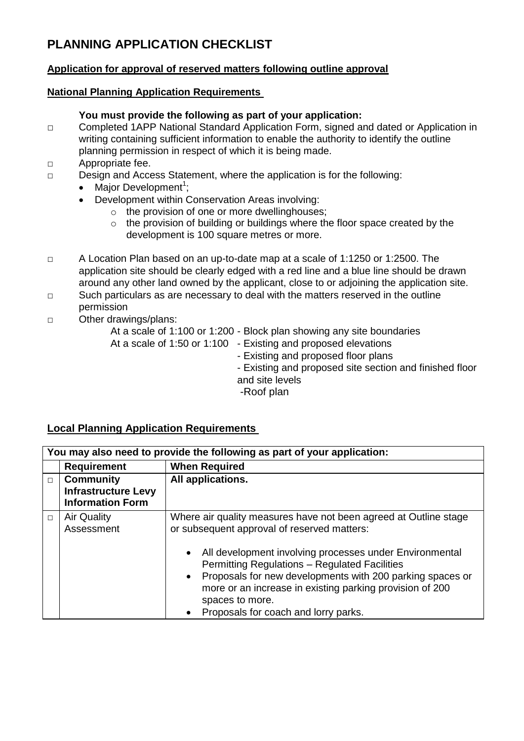# **PLANNING APPLICATION CHECKLIST**

### **Application for approval of reserved matters following outline approval**

#### **National Planning Application Requirements**

#### **You must provide the following as part of your application:**

- □ Completed 1APP National Standard Application Form, signed and dated or Application in writing containing sufficient information to enable the authority to identify the outline planning permission in respect of which it is being made.
- □ Appropriate fee.
- □ Design and Access Statement, where the application is for the following:
	- Major Development<sup>1</sup>;
	- Development within Conservation Areas involving:
		- o the provision of one or more dwellinghouses;
		- o the provision of building or buildings where the floor space created by the development is 100 square metres or more.
- □ A Location Plan based on an up-to-date map at a scale of 1:1250 or 1:2500. The application site should be clearly edged with a red line and a blue line should be drawn around any other land owned by the applicant, close to or adjoining the application site.
- □ Such particulars as are necessary to deal with the matters reserved in the outline permission
- □ Other drawings/plans:

At a scale of 1:100 or 1:200 - Block plan showing any site boundaries At a scale of 1:50 or 1:100 - Existing and proposed elevations - Existing and proposed floor plans - Existing and proposed site section and finished floor and site levels -Roof plan

# **Local Planning Application Requirements**

| You may also need to provide the following as part of your application: |                                                                           |                                                                                                                                                                                                                                                                                                                                                                                                                                                               |  |  |
|-------------------------------------------------------------------------|---------------------------------------------------------------------------|---------------------------------------------------------------------------------------------------------------------------------------------------------------------------------------------------------------------------------------------------------------------------------------------------------------------------------------------------------------------------------------------------------------------------------------------------------------|--|--|
|                                                                         | <b>Requirement</b>                                                        | <b>When Required</b>                                                                                                                                                                                                                                                                                                                                                                                                                                          |  |  |
| $\Box$                                                                  | <b>Community</b><br><b>Infrastructure Levy</b><br><b>Information Form</b> | All applications.                                                                                                                                                                                                                                                                                                                                                                                                                                             |  |  |
| $\Box$                                                                  | <b>Air Quality</b><br>Assessment                                          | Where air quality measures have not been agreed at Outline stage<br>or subsequent approval of reserved matters:<br>All development involving processes under Environmental<br>$\bullet$<br><b>Permitting Regulations - Regulated Facilities</b><br>Proposals for new developments with 200 parking spaces or<br>$\bullet$<br>more or an increase in existing parking provision of 200<br>spaces to more.<br>Proposals for coach and lorry parks.<br>$\bullet$ |  |  |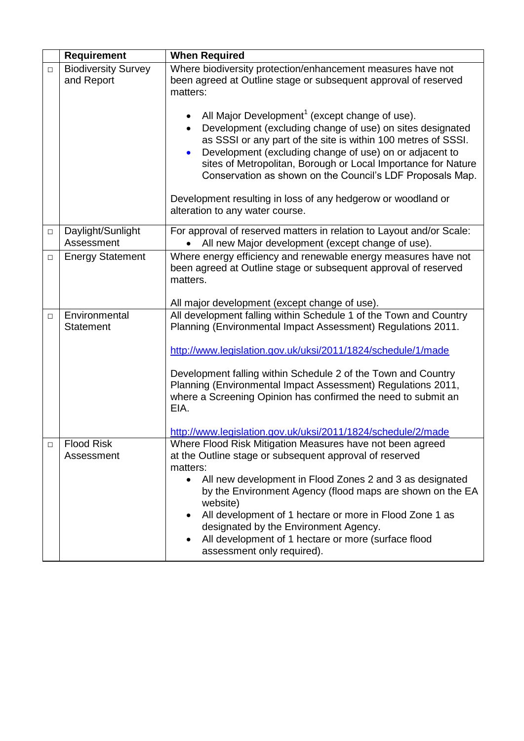|        | <b>Requirement</b>                       | <b>When Required</b>                                                                                                                                                                                                                                                                                                                                                                                                                                                        |
|--------|------------------------------------------|-----------------------------------------------------------------------------------------------------------------------------------------------------------------------------------------------------------------------------------------------------------------------------------------------------------------------------------------------------------------------------------------------------------------------------------------------------------------------------|
| $\Box$ | <b>Biodiversity Survey</b><br>and Report | Where biodiversity protection/enhancement measures have not<br>been agreed at Outline stage or subsequent approval of reserved<br>matters:                                                                                                                                                                                                                                                                                                                                  |
|        |                                          | All Major Development <sup>1</sup> (except change of use).<br>Development (excluding change of use) on sites designated<br>as SSSI or any part of the site is within 100 metres of SSSI.<br>Development (excluding change of use) on or adjacent to<br>sites of Metropolitan, Borough or Local Importance for Nature<br>Conservation as shown on the Council's LDF Proposals Map.                                                                                           |
|        |                                          | Development resulting in loss of any hedgerow or woodland or<br>alteration to any water course.                                                                                                                                                                                                                                                                                                                                                                             |
| $\Box$ | Daylight/Sunlight<br>Assessment          | For approval of reserved matters in relation to Layout and/or Scale:<br>All new Major development (except change of use).                                                                                                                                                                                                                                                                                                                                                   |
| $\Box$ | <b>Energy Statement</b>                  | Where energy efficiency and renewable energy measures have not<br>been agreed at Outline stage or subsequent approval of reserved<br>matters.<br>All major development (except change of use).                                                                                                                                                                                                                                                                              |
| $\Box$ | Environmental<br><b>Statement</b>        | All development falling within Schedule 1 of the Town and Country<br>Planning (Environmental Impact Assessment) Regulations 2011.<br>http://www.legislation.gov.uk/uksi/2011/1824/schedule/1/made<br>Development falling within Schedule 2 of the Town and Country<br>Planning (Environmental Impact Assessment) Regulations 2011,<br>where a Screening Opinion has confirmed the need to submit an<br>EIA.<br>http://www.legislation.gov.uk/uksi/2011/1824/schedule/2/made |
| □      | <b>Flood Risk</b><br>Assessment          | Where Flood Risk Mitigation Measures have not been agreed<br>at the Outline stage or subsequent approval of reserved<br>matters:<br>All new development in Flood Zones 2 and 3 as designated<br>by the Environment Agency (flood maps are shown on the EA<br>website)<br>All development of 1 hectare or more in Flood Zone 1 as<br>designated by the Environment Agency.<br>All development of 1 hectare or more (surface flood<br>assessment only required).              |